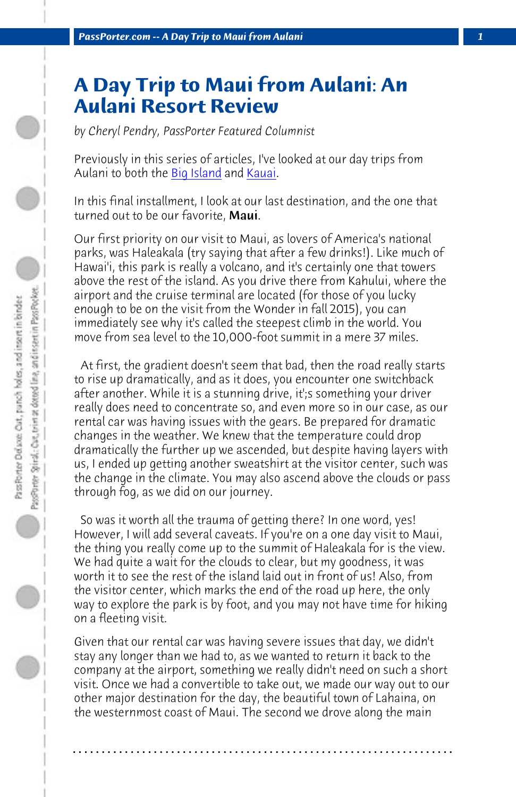**PassPorter.com -- A Day Trip to Maui from Aulani** 

## **A Day Trip to Maui from Aulani: An Aulani Resort Review**

*by Cheryl Pendry, PassPorter Featured Columnist*

Previously in this series of articles, I've looked at our day trips from Aulani to both the **Big Island** and Kauai.

In this final installment, I look at our last destination, and the one that turned out to be our favorite, Maui.

Our first priority on our visit to Maui, as lovers of America's national parks, was Haleakala (try saying that after a few drinks!). Like much of Hawai'i, this park is really a volcano, and it's certainly one that towers above the rest of the island. As you drive there from Kahului, where the airport and the cruise terminal are located (for those of you lucky enough to be on the visit from the Wonder in fall 2015), you can immediately see why it's called the steepest climb in the world. You move from sea level to the 10,000-foot summit in a mere 37 miles.

 At first, the gradient doesn't seem that bad, then the road really starts to rise up dramatically, and as it does, you encounter one switchback after another. While it is a stunning drive, it';s something your driver really does need to concentrate so, and even more so in our case, as our rental car was having issues with the gears. Be prepared for dramatic changes in the weather. We knew that the temperature could drop dramatically the further up we ascended, but despite having layers with us, I ended up getting another sweatshirt at the visitor center, such was the change in the climate. You may also ascend above the clouds or pass through fog, as we did on our journey.

 So was it worth all the trauma of getting there? In one word, yes! However, I will add several caveats. If you're on a one day visit to Maui, the thing you really come up to the summit of Haleakala for is the view. We had quite a wait for the clouds to clear, but my goodness, it was worth it to see the rest of the island laid out in front of us! Also, from the visitor center, which marks the end of the road up here, the only way to explore the park is by foot, and you may not have time for hiking on a fleeting visit.

Given that our rental car was having severe issues that day, we didn't stay any longer than we had to, as we wanted to return it back to the company at the airport, something we really didn't need on such a short visit. Once we had a convertible to take out, we made our way out to our other major destination for the day, the beautiful town of Lahaina, on the westernmost coast of Maui. The second we drove along the main

**. . . . . . . . . . . . . . . . . . . . . . . . . . . . . . . . . . . . . . . . . . . . . . . . . . . . . . . . . . . . . . . . . .**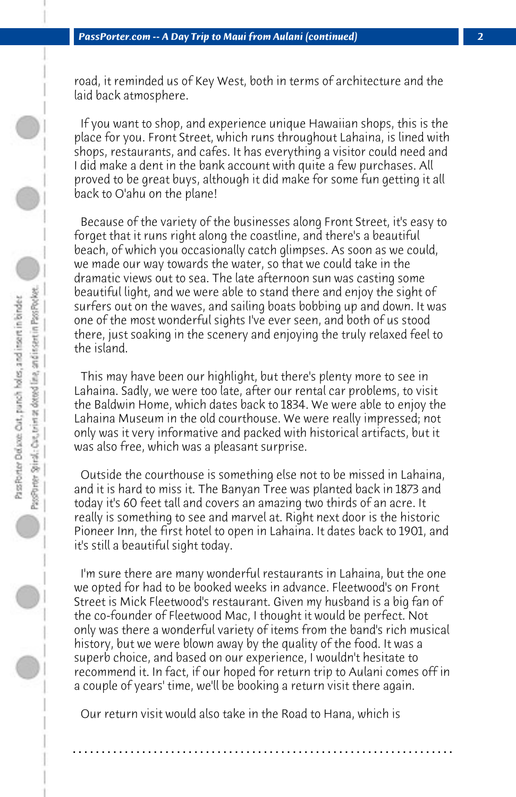road, it reminded us of Key West, both in terms of architecture and the laid back atmosphere.

 If you want to shop, and experience unique Hawaiian shops, this is the place for you. Front Street, which runs throughout Lahaina, is lined with shops, restaurants, and cafes. It has everything a visitor could need and I did make a dent in the bank account with quite a few purchases. All proved to be great buys, although it did make for some fun getting it all back to O'ahu on the plane!

 Because of the variety of the businesses along Front Street, it's easy to forget that it runs right along the coastline, and there's a beautiful beach, of which you occasionally catch glimpses. As soon as we could, we made our way towards the water, so that we could take in the dramatic views out to sea. The late afternoon sun was casting some beautiful light, and we were able to stand there and enjoy the sight of surfers out on the waves, and sailing boats bobbing up and down. It was one of the most wonderful sights I've ever seen, and both of us stood there, just soaking in the scenery and enjoying the truly relaxed feel to the island.

 This may have been our highlight, but there's plenty more to see in Lahaina. Sadly, we were too late, after our rental car problems, to visit the Baldwin Home, which dates back to 1834. We were able to enjoy the Lahaina Museum in the old courthouse. We were really impressed; not only was it very informative and packed with historical artifacts, but it was also free, which was a pleasant surprise.

 Outside the courthouse is something else not to be missed in Lahaina, and it is hard to miss it. The Banyan Tree was planted back in 1873 and today it's 60 feet tall and covers an amazing two thirds of an acre. It really is something to see and marvel at. Right next door is the historic Pioneer Inn, the first hotel to open in Lahaina. It dates back to 1901, and it's still a beautiful sight today.

 I'm sure there are many wonderful restaurants in Lahaina, but the one we opted for had to be booked weeks in advance. Fleetwood's on Front Street is Mick Fleetwood's restaurant. Given my husband is a big fan of the co-founder of Fleetwood Mac, I thought it would be perfect. Not only was there a wonderful variety of items from the band's rich musical history, but we were blown away by the quality of the food. It was a superb choice, and based on our experience, I wouldn't hesitate to recommend it. In fact, if our hoped for return trip to Aulani comes off in a couple of years' time, we'll be booking a return visit there again.

**. . . . . . . . . . . . . . . . . . . . . . . . . . . . . . . . . . . . . . . . . . . . . . . . . . . . . . . . . . . . . . . . . .**

 Our return visit would also take in the Road to Hana, which is